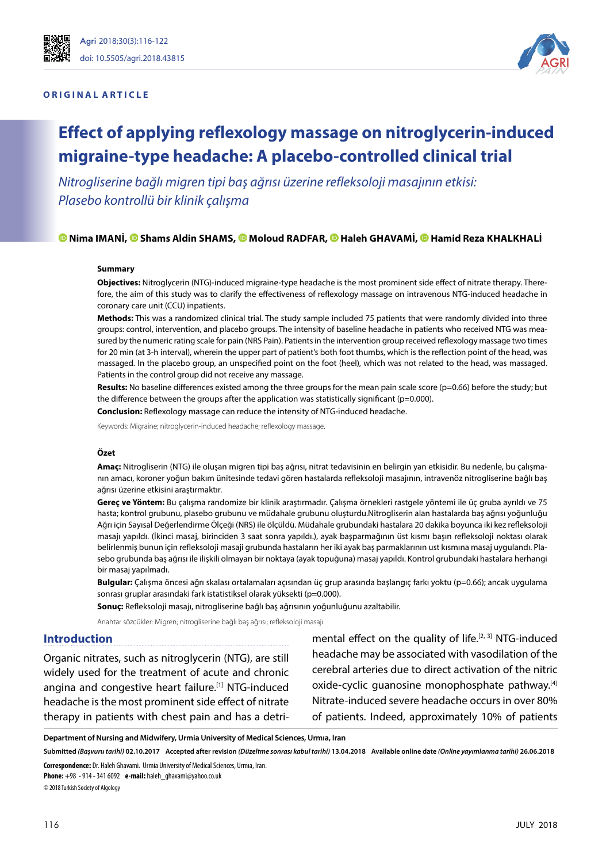

## **ORIGINAL ARTICLE**



# **Effect of applying reflexology massage on nitroglycerin-induced migraine-type headache: A placebo-controlled clinical trial**

*Nitrogliserine bağlı migren tipi baş ağrısı üzerine refleksoloji masajının etkisi: Plasebo kontrollü bir klinik çalışma*

# **[N](https://orcid.org/0000-0002-3813-6259)ima IMANI[, S](https://orcid.org/0000-0001-6664-742X)hams Aldin SHAMS[, M](https://orcid.org/0000-0002-0957-4217)oloud RADFAR, [H](https://orcid.org/0000-0002-6679-1234)aleh GHAVAMI, [H](https://orcid.org/0000-0003-2837-0735)amid Reza KHALKHALI**

#### **Summary**

**Objectives:** Nitroglycerin (NTG)-induced migraine-type headache is the most prominent side effect of nitrate therapy. Therefore, the aim of this study was to clarify the effectiveness of reflexology massage on intravenous NTG-induced headache in coronary care unit (CCU) inpatients.

**Methods:** This was a randomized clinical trial. The study sample included 75 patients that were randomly divided into three groups: control, intervention, and placebo groups. The intensity of baseline headache in patients who received NTG was measured by the numeric rating scale for pain (NRS Pain). Patients in the intervention group received reflexology massage two times for 20 min (at 3-h interval), wherein the upper part of patient's both foot thumbs, which is the reflection point of the head, was massaged. In the placebo group, an unspecified point on the foot (heel), which was not related to the head, was massaged. Patients in the control group did not receive any massage.

**Results:** No baseline differences existed among the three groups for the mean pain scale score (p=0.66) before the study; but the difference between the groups after the application was statistically significant (p=0.000).

**Conclusion:** Reflexology massage can reduce the intensity of NTG-induced headache.

Keywords: Migraine; nitroglycerin-induced headache; reflexology massage.

#### **Özet**

**Amaç:** Nitrogliserin (NTG) ile oluşan migren tipi baş ağrısı, nitrat tedavisinin en belirgin yan etkisidir. Bu nedenle, bu çalışmanın amacı, koroner yoğun bakım ünitesinde tedavi gören hastalarda refleksoloji masajının, intravenöz nitrogliserine bağlı baş ağrısı üzerine etkisini araştırmaktır.

**Gereç ve Yöntem:** Bu çalışma randomize bir klinik araştırmadır. Çalışma örnekleri rastgele yöntemi ile üç gruba ayrıldı ve 75 hasta; kontrol grubunu, plasebo grubunu ve müdahale grubunu oluşturdu.Nitrogliserin alan hastalarda baş ağrısı yoğunluğu Ağrı için Sayısal Değerlendirme Ölçeği (NRS) ile ölçüldü. Müdahale grubundaki hastalara 20 dakika boyunca iki kez refleksoloji masajı yapıldı. (İkinci masaj, birinciden 3 saat sonra yapıldı.), ayak başparmağının üst kısmı başın refleksoloji noktası olarak belirlenmiş bunun için refleksoloji masaji grubunda hastaların her iki ayak baş parmaklarının ust kısmına masaj uygulandı. Plasebo grubunda baş ağrısı ile ilişkili olmayan bir noktaya (ayak topuğuna) masaj yapıldı. Kontrol grubundaki hastalara herhangi bir masaj yapılmadı.

**Bulgular:** Çalışma öncesi ağrı skalası ortalamaları açısından üç grup arasında başlangıç farkı yoktu (p=0.66); ancak uygulama sonrası gruplar arasındaki fark istatistiksel olarak yüksekti (p=0.000).

**Sonuç:** Refleksoloji masajı, nitrogliserine bağlı baş ağrısının yoğunluğunu azaltabilir.

Anahtar sözcükler: Migren; nitrogliserine bağlı baş ağrısı; refleksoloji masajı.

#### **Introduction**

Organic nitrates, such as nitroglycerin (NTG), are still widely used for the treatment of acute and chronic angina and congestive heart failure.<sup>[1]</sup> NTG-induced headache is the most prominent side effect of nitrate therapy in patients with chest pain and has a detri-

mental effect on the quality of life.<sup>[2, 3]</sup> NTG-induced headache may be associated with vasodilation of the cerebral arteries due to direct activation of the nitric oxide-cyclic guanosine monophosphate pathway.[4] Nitrate-induced severe headache occurs in over 80% of patients. Indeed, approximately 10% of patients

**Department of Nursing and Midwifery, Urmia University of Medical Sciences, Urmıa, Iran**

Submitted (Basvuru tarihi) 02.10.2017 Accepted after revision (Düzeltme sonrası kabul tarihi) 13.04.2018 Available online date (Online yayımlanma tarihi) 26.06.2018

**Correspondence:** Dr. Haleh Ghavami. Urmia University of Medical Sciences, Urmıa, Iran.

**Phone:** +98 - 914 - 341 6092 **e-mail:** haleh\_ghavami@yahoo.co.uk

© 2018 Turkish Society of Algology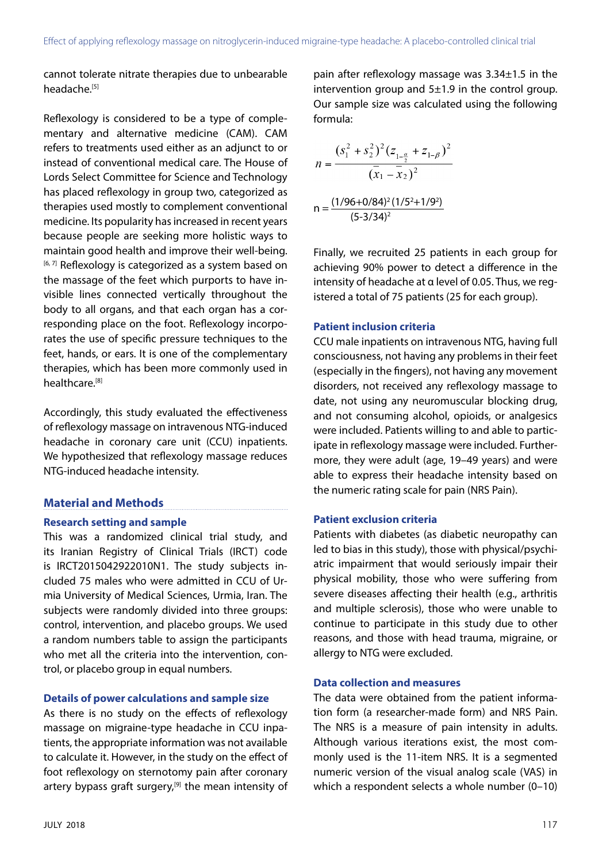cannot tolerate nitrate therapies due to unbearable headache.<sup>[5]</sup>

Reflexology is considered to be a type of complementary and alternative medicine (CAM). CAM refers to treatments used either as an adjunct to or instead of conventional medical care. The House of Lords Select Committee for Science and Technology has placed reflexology in group two, categorized as therapies used mostly to complement conventional medicine. Its popularity has increased in recent years because people are seeking more holistic ways to maintain good health and improve their well-being. [6,7] Reflexology is categorized as a system based on the massage of the feet which purports to have invisible lines connected vertically throughout the body to all organs, and that each organ has a corresponding place on the foot. Reflexology incorporates the use of specific pressure techniques to the feet, hands, or ears. It is one of the complementary therapies, which has been more commonly used in healthcare.[8]

Accordingly, this study evaluated the effectiveness of reflexology massage on intravenous NTG-induced headache in coronary care unit (CCU) inpatients. We hypothesized that reflexology massage reduces NTG-induced headache intensity.

# **Material and Methods**

# **Research setting and sample**

This was a randomized clinical trial study, and its Iranian Registry of Clinical Trials (IRCT) code is IRCT2015042922010N1. The study subjects included 75 males who were admitted in CCU of Urmia University of Medical Sciences, Urmia, Iran. The subjects were randomly divided into three groups: control, intervention, and placebo groups. We used a random numbers table to assign the participants who met all the criteria into the intervention, control, or placebo group in equal numbers.

# **Details of power calculations and sample size**

As there is no study on the effects of reflexology massage on migraine-type headache in CCU inpatients, the appropriate information was not available to calculate it. However, in the study on the effect of foot reflexology on sternotomy pain after coronary artery bypass graft surgery,<sup>[9]</sup> the mean intensity of pain after reflexology massage was 3.34±1.5 in the intervention group and  $5\pm1.9$  in the control group. Our sample size was calculated using the following formula:

$$
n = \frac{(s_1^2 + s_2^2)^2 (z_{1-\frac{\alpha}{2}} + z_{1-\beta})^2}{(\overline{x}_1 - \overline{x}_2)^2}
$$

$$
n = \frac{(1/96 + 0/84)^2 (1/5^2 + 1/9^2)}{(5-3/34)^2}
$$

Finally, we recruited 25 patients in each group for achieving 90% power to detect a difference in the intensity of headache at α level of 0.05. Thus, we registered a total of 75 patients (25 for each group).

# **Patient inclusion criteria**

CCU male inpatients on intravenous NTG, having full consciousness, not having any problems in their feet (especially in the fingers), not having any movement disorders, not received any reflexology massage to date, not using any neuromuscular blocking drug, and not consuming alcohol, opioids, or analgesics were included. Patients willing to and able to participate in reflexology massage were included. Furthermore, they were adult (age, 19–49 years) and were able to express their headache intensity based on the numeric rating scale for pain (NRS Pain).

# **Patient exclusion criteria**

Patients with diabetes (as diabetic neuropathy can led to bias in this study), those with physical/psychiatric impairment that would seriously impair their physical mobility, those who were suffering from severe diseases affecting their health (e.g., arthritis and multiple sclerosis), those who were unable to continue to participate in this study due to other reasons, and those with head trauma, migraine, or allergy to NTG were excluded.

# **Data collection and measures**

The data were obtained from the patient information form (a researcher-made form) and NRS Pain. The NRS is a measure of pain intensity in adults. Although various iterations exist, the most commonly used is the 11-item NRS. It is a segmented numeric version of the visual analog scale (VAS) in which a respondent selects a whole number (0–10)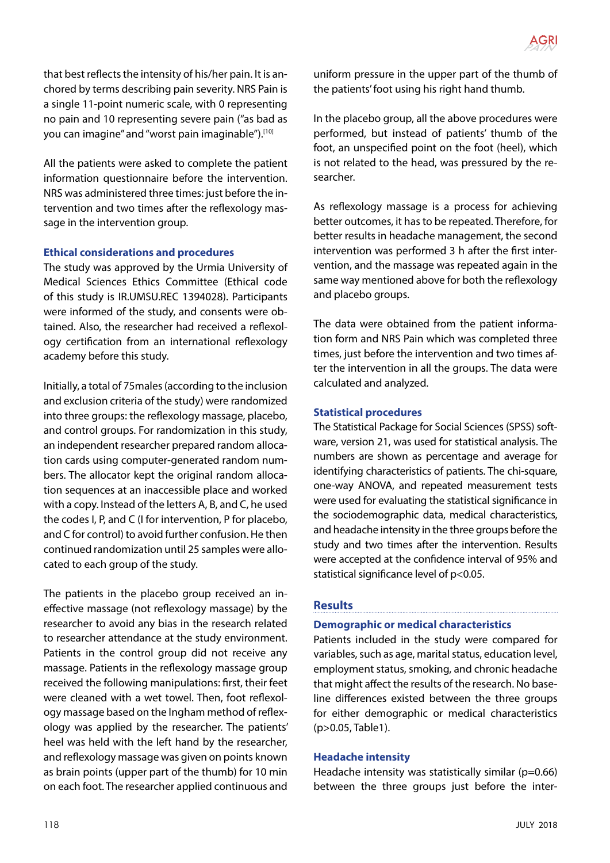that best reflects the intensity of his/her pain. It is anchored by terms describing pain severity. NRS Pain is a single 11-point numeric scale, with 0 representing no pain and 10 representing severe pain ("as bad as you can imagine" and "worst pain imaginable"). [10]

All the patients were asked to complete the patient information questionnaire before the intervention. NRS was administered three times: just before the intervention and two times after the reflexology massage in the intervention group.

# **Ethical considerations and procedures**

The study was approved by the Urmia University of Medical Sciences Ethics Committee (Ethical code of this study is IR.UMSU.REC 1394028). Participants were informed of the study, and consents were obtained. Also, the researcher had received a reflexology certification from an international reflexology academy before this study.

Initially, a total of 75males (according to the inclusion and exclusion criteria of the study) were randomized into three groups: the reflexology massage, placebo, and control groups. For randomization in this study, an independent researcher prepared random allocation cards using computer-generated random numbers. The allocator kept the original random allocation sequences at an inaccessible place and worked with a copy. Instead of the letters A, B, and C, he used the codes I, P, and C (I for intervention, P for placebo, and C for control) to avoid further confusion. He then continued randomization until 25 samples were allocated to each group of the study.

The patients in the placebo group received an ineffective massage (not reflexology massage) by the researcher to avoid any bias in the research related to researcher attendance at the study environment. Patients in the control group did not receive any massage. Patients in the reflexology massage group received the following manipulations: first, their feet were cleaned with a wet towel. Then, foot reflexology massage based on the Ingham method of reflexology was applied by the researcher. The patients' heel was held with the left hand by the researcher, and reflexology massage was given on points known as brain points (upper part of the thumb) for 10 min on each foot. The researcher applied continuous and uniform pressure in the upper part of the thumb of the patients' foot using his right hand thumb.

In the placebo group, all the above procedures were performed, but instead of patients' thumb of the foot, an unspecified point on the foot (heel), which is not related to the head, was pressured by the researcher.

As reflexology massage is a process for achieving better outcomes, it has to be repeated. Therefore, for better results in headache management, the second intervention was performed 3 h after the first intervention, and the massage was repeated again in the same way mentioned above for both the reflexology and placebo groups.

The data were obtained from the patient information form and NRS Pain which was completed three times, just before the intervention and two times after the intervention in all the groups. The data were calculated and analyzed.

# **Statistical procedures**

The Statistical Package for Social Sciences (SPSS) software, version 21, was used for statistical analysis. The numbers are shown as percentage and average for identifying characteristics of patients. The chi-square, one-way ANOVA, and repeated measurement tests were used for evaluating the statistical significance in the sociodemographic data, medical characteristics, and headache intensity in the three groups before the study and two times after the intervention. Results were accepted at the confidence interval of 95% and statistical significance level of p<0.05.

# **Results**

# **Demographic or medical characteristics**

Patients included in the study were compared for variables, such as age, marital status, education level, employment status, smoking, and chronic headache that might affect the results of the research. No baseline differences existed between the three groups for either demographic or medical characteristics (p>0.05, Table1).

# **Headache intensity**

Headache intensity was statistically similar (p=0.66) between the three groups just before the inter-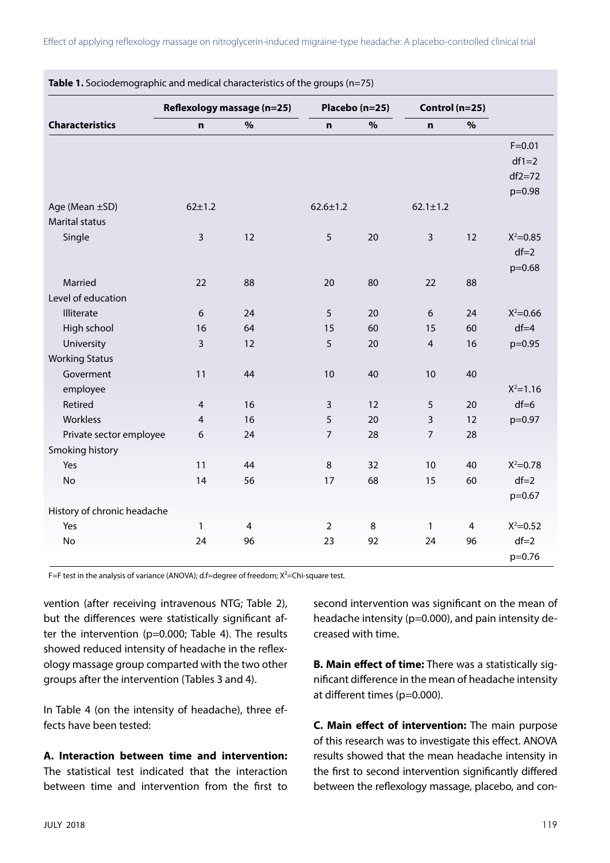|                             | Reflexology massage (n=25) |      | Placebo (n=25) |    | Control (n=25) |    |              |
|-----------------------------|----------------------------|------|----------------|----|----------------|----|--------------|
| <b>Characteristics</b>      | $\mathbf n$                | $\%$ | $\mathbf n$    | %  | $\mathbf n$    | %  |              |
|                             |                            |      |                |    |                |    | $F = 0.01$   |
|                             |                            |      |                |    |                |    | $df1=2$      |
|                             |                            |      |                |    |                |    | $df2=72$     |
|                             |                            |      |                |    |                |    | p=0.98       |
| Age (Mean ±SD)              | $62 + 1.2$                 |      | $62.6 \pm 1.2$ |    | $62.1 \pm 1.2$ |    |              |
| <b>Marital status</b>       |                            |      |                |    |                |    |              |
| Single                      | $\mathsf{3}$               | 12   | 5              | 20 | $\overline{3}$ | 12 | $X^2 = 0.85$ |
|                             |                            |      |                |    |                |    | $df=2$       |
|                             |                            |      |                |    |                |    | $p=0.68$     |
| Married                     | 22                         | 88   | 20             | 80 | 22             | 88 |              |
| Level of education          |                            |      |                |    |                |    |              |
| Illiterate                  | 6                          | 24   | 5              | 20 | 6              | 24 | $X^2 = 0.66$ |
| High school                 | 16                         | 64   | 15             | 60 | 15             | 60 | $df = 4$     |
| University                  | $\overline{3}$             | 12   | 5              | 20 | $\overline{4}$ | 16 | $p=0.95$     |
| <b>Working Status</b>       |                            |      |                |    |                |    |              |
| Goverment                   | 11                         | 44   | 10             | 40 | 10             | 40 |              |
| employee                    |                            |      |                |    |                |    | $X^2 = 1.16$ |
| Retired                     | $\overline{4}$             | 16   | 3              | 12 | 5              | 20 | $df=6$       |
| Workless                    | $\overline{4}$             | 16   | 5              | 20 | 3              | 12 | p=0.97       |
| Private sector employee     | 6                          | 24   | $\overline{7}$ | 28 | $\overline{7}$ | 28 |              |
| Smoking history             |                            |      |                |    |                |    |              |
| Yes                         | 11                         | 44   | 8              | 32 | 10             | 40 | $X^2 = 0.78$ |
| No                          | 14                         | 56   | 17             | 68 | 15             | 60 | $df=2$       |
|                             |                            |      |                |    |                |    | $p=0.67$     |
| History of chronic headache |                            |      |                |    |                |    |              |
| Yes                         | $\mathbf{1}$               | 4    | $\overline{2}$ | 8  | $\mathbf{1}$   | 4  | $X^2 = 0.52$ |
| No                          | 24                         | 96   | 23             | 92 | 24             | 96 | $df=2$       |
|                             |                            |      |                |    |                |    | $p=0.76$     |

**Table 1.** Sociodemographic and medical characteristics of the groups (n=75)

F=F test in the analysis of variance (ANOVA); d.f=degree of freedom;  $X^2$ =Chi-square test.

vention (after receiving intravenous NTG; Table 2), but the differences were statistically significant after the intervention (p=0.000; Table 4). The results showed reduced intensity of headache in the reflexology massage group comparted with the two other groups after the intervention (Tables 3 and 4).

In Table 4 (on the intensity of headache), three effects have been tested:

**A. Interaction between time and intervention:** The statistical test indicated that the interaction between time and intervention from the first to second intervention was significant on the mean of headache intensity (p=0.000), and pain intensity decreased with time.

**B. Main effect of time:** There was a statistically significant difference in the mean of headache intensity at different times (p=0.000).

**C. Main effect of intervention:** The main purpose of this research was to investigate this effect. ANOVA results showed that the mean headache intensity in the first to second intervention significantly differed between the reflexology massage, placebo, and con-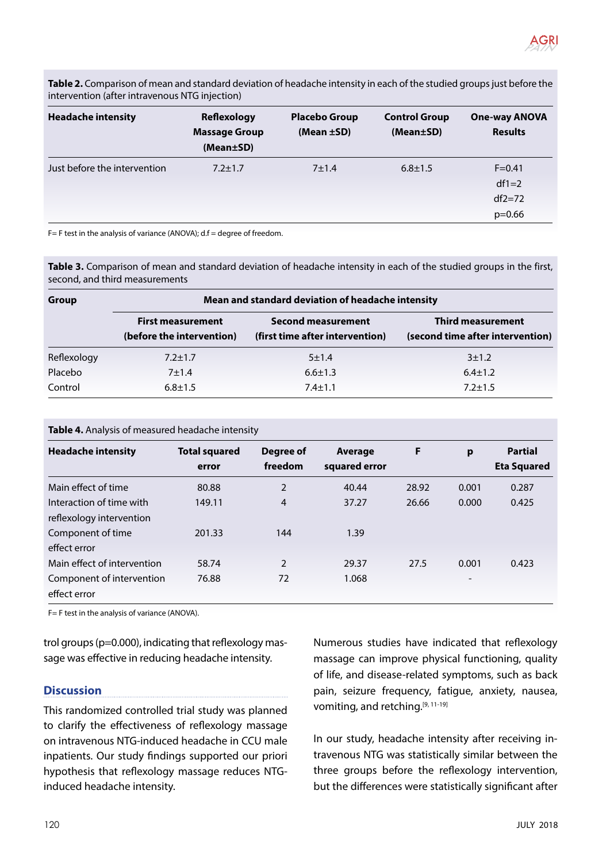

**Table 2.** Comparison of mean and standard deviation of headache intensity in each of the studied groups just before the intervention (after intravenous NTG injection)

| <b>Headache intensity</b>    | Reflexology<br><b>Massage Group</b><br>(Mean±SD) | <b>Placebo Group</b><br>(Mean $\pm$ SD) | <b>Control Group</b><br>(Mean±SD) | <b>One-way ANOVA</b><br><b>Results</b> |
|------------------------------|--------------------------------------------------|-----------------------------------------|-----------------------------------|----------------------------------------|
| Just before the intervention | $7.2 \pm 1.7$                                    | 7±1.4                                   | $6.8 \pm 1.5$                     | $F = 0.41$                             |
|                              |                                                  |                                         |                                   | $df1=2$                                |
|                              |                                                  |                                         |                                   | $df2=72$                               |
|                              |                                                  |                                         |                                   | $p=0.66$                               |

F= F test in the analysis of variance (ANOVA); d.f = degree of freedom.

**Table 3.** Comparison of mean and standard deviation of headache intensity in each of the studied groups in the first, second, and third measurements

| Group       | Mean and standard deviation of headache intensity     |                                                              |                                                              |  |  |  |
|-------------|-------------------------------------------------------|--------------------------------------------------------------|--------------------------------------------------------------|--|--|--|
|             | <b>First measurement</b><br>(before the intervention) | <b>Second measurement</b><br>(first time after intervention) | <b>Third measurement</b><br>(second time after intervention) |  |  |  |
| Reflexology | $7.2 \pm 1.7$                                         | 5±1.4                                                        | 3±1.2                                                        |  |  |  |
| Placebo     | $7 + 1.4$                                             | $6.6 \pm 1.3$                                                | $6.4 \pm 1.2$                                                |  |  |  |
| Control     | $6.8 \pm 1.5$                                         | $7.4 \pm 1.1$                                                | $7.2 \pm 1.5$                                                |  |  |  |

| Table 4. Analysis of measured headache intensity |  |
|--------------------------------------------------|--|
|                                                  |  |

| <b>Headache intensity</b>   | <b>Total squared</b> | Degree of      | Average       | F     | p                        | <b>Partial</b>     |
|-----------------------------|----------------------|----------------|---------------|-------|--------------------------|--------------------|
|                             | error                | freedom        | squared error |       |                          | <b>Eta Squared</b> |
| Main effect of time         | 80.88                | 2              | 40.44         | 28.92 | 0.001                    | 0.287              |
| Interaction of time with    | 149.11               | $\overline{4}$ | 37.27         | 26.66 | 0.000                    | 0.425              |
| reflexology intervention    |                      |                |               |       |                          |                    |
| Component of time           | 201.33               | 144            | 1.39          |       |                          |                    |
| effect error                |                      |                |               |       |                          |                    |
| Main effect of intervention | 58.74                | $\mathcal{P}$  | 29.37         | 27.5  | 0.001                    | 0.423              |
| Component of intervention   | 76.88                | 72             | 1.068         |       | $\overline{\phantom{a}}$ |                    |
| effect error                |                      |                |               |       |                          |                    |

F= F test in the analysis of variance (ANOVA).

trol groups (p=0.000), indicating that reflexology massage was effective in reducing headache intensity.

# **Discussion**

This randomized controlled trial study was planned to clarify the effectiveness of reflexology massage on intravenous NTG-induced headache in CCU male inpatients. Our study findings supported our priori hypothesis that reflexology massage reduces NTGinduced headache intensity.

Numerous studies have indicated that reflexology massage can improve physical functioning, quality of life, and disease-related symptoms, such as back pain, seizure frequency, fatigue, anxiety, nausea, vomiting, and retching.<sup>[9, 11-19]</sup>

In our study, headache intensity after receiving intravenous NTG was statistically similar between the three groups before the reflexology intervention, but the differences were statistically significant after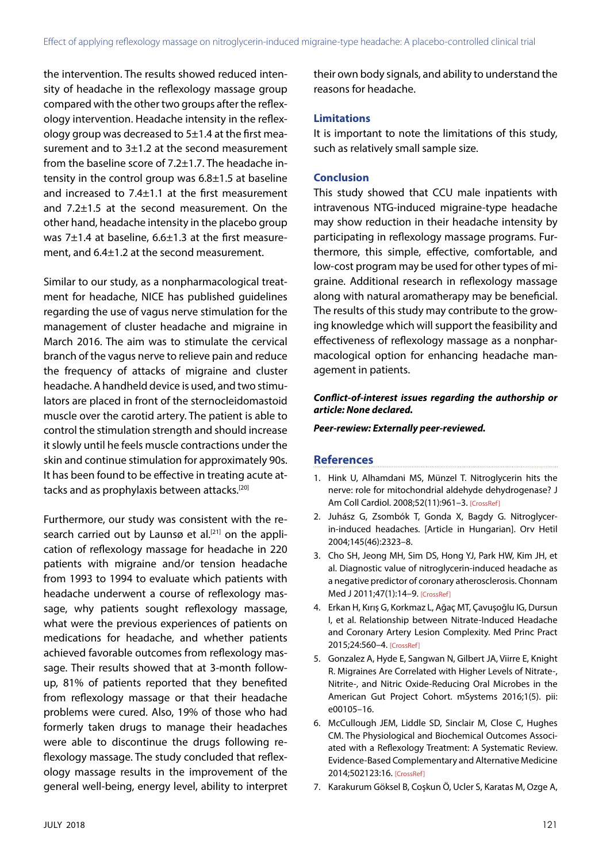the intervention. The results showed reduced intensity of headache in the reflexology massage group compared with the other two groups after the reflexology intervention. Headache intensity in the reflexology group was decreased to  $5\pm1.4$  at the first measurement and to 3±1.2 at the second measurement from the baseline score of 7.2±1.7. The headache intensity in the control group was 6.8±1.5 at baseline and increased to 7.4±1.1 at the first measurement and 7.2±1.5 at the second measurement. On the other hand, headache intensity in the placebo group was 7±1.4 at baseline, 6.6±1.3 at the first measurement, and 6.4±1.2 at the second measurement.

Similar to our study, as a nonpharmacological treatment for headache, NICE has published guidelines regarding the use of vagus nerve stimulation for the management of cluster headache and migraine in March 2016. The aim was to stimulate the cervical branch of the vagus nerve to relieve pain and reduce the frequency of attacks of migraine and cluster headache. A handheld device is used, and two stimulators are placed in front of the sternocleidomastoid muscle over the carotid artery. The patient is able to control the stimulation strength and should increase it slowly until he feels muscle contractions under the skin and continue stimulation for approximately 90s. It has been found to be effective in treating acute attacks and as prophylaxis between attacks.[20]

Furthermore, our study was consistent with the research carried out by Launsø et al.<sup>[21]</sup> on the application of reflexology massage for headache in 220 patients with migraine and/or tension headache from 1993 to 1994 to evaluate which patients with headache underwent a course of reflexology massage, why patients sought reflexology massage, what were the previous experiences of patients on medications for headache, and whether patients achieved favorable outcomes from reflexology massage. Their results showed that at 3-month followup, 81% of patients reported that they benefited from reflexology massage or that their headache problems were cured. Also, 19% of those who had formerly taken drugs to manage their headaches were able to discontinue the drugs following reflexology massage. The study concluded that reflexology massage results in the improvement of the general well-being, energy level, ability to interpret their own body signals, and ability to understand the reasons for headache.

## **Limitations**

It is important to note the limitations of this study, such as relatively small sample size.

## **Conclusion**

This study showed that CCU male inpatients with intravenous NTG-induced migraine-type headache may show reduction in their headache intensity by participating in reflexology massage programs. Furthermore, this simple, effective, comfortable, and low-cost program may be used for other types of migraine. Additional research in reflexology massage along with natural aromatherapy may be beneficial. The results of this study may contribute to the growing knowledge which will support the feasibility and effectiveness of reflexology massage as a nonpharmacological option for enhancing headache management in patients.

## *Conflict-of-interest issues regarding the authorship or article: None declared.*

*Peer-rewiew: Externally peer-reviewed.*

## **References**

- 1. Hink U, Alhamdani MS, Münzel T. Nitroglycerin hits the nerve: role for mitochondrial aldehyde dehydrogenase? J Am Coll Cardiol. 2008;52(11):961–3. [\[CrossRef\]](https://doi.org/10.1016/j.jacc.2008.06.014)
- 2. Juhász G, Zsombók T, Gonda X, Bagdy G. Nitroglycerin-induced headaches. [Article in Hungarian]. Orv Hetil 2004;145(46):2323–8.
- 3. Cho SH, Jeong MH, Sim DS, Hong YJ, Park HW, Kim JH, et al. Diagnostic value of nitroglycerin-induced headache as a negative predictor of coronary atherosclerosis. Chonnam Med J 2011;47(1):14–9[. \[CrossRef\]](https://doi.org/10.4068/cmj.2011.47.1.14)
- 4. Erkan H, Kırış G, Korkmaz L, Ağaç MT, Çavuşoğlu IG, Dursun I, et al. Relationship between Nitrate-Induced Headache and Coronary Artery Lesion Complexity. Med Princ Pract 2015;24:560[–4. \[CrossRef\]](https://doi.org/10.1159/000434754)
- 5. Gonzalez A, Hyde E, Sangwan N, Gilbert JA, Viirre E, Knight R. Migraines Are Correlated with Higher Levels of Nitrate-, Nitrite-, and Nitric Oxide-Reducing Oral Microbes in the American Gut Project Cohort. mSystems 2016;1(5). pii: e00105–16.
- 6. McCullough JEM, Liddle SD, Sinclair M, Close C, Hughes CM. The Physiological and Biochemical Outcomes Associated with a Reflexology Treatment: A Systematic Review. Evidence-Based Complementary and Alternative Medicine 2014;502123:1[6. \[CrossRef\]](https://doi.org/10.1155/2014/502123)
- 7. Karakurum Göksel B, Coşkun Ö, Ucler S, Karatas M, Ozge A,